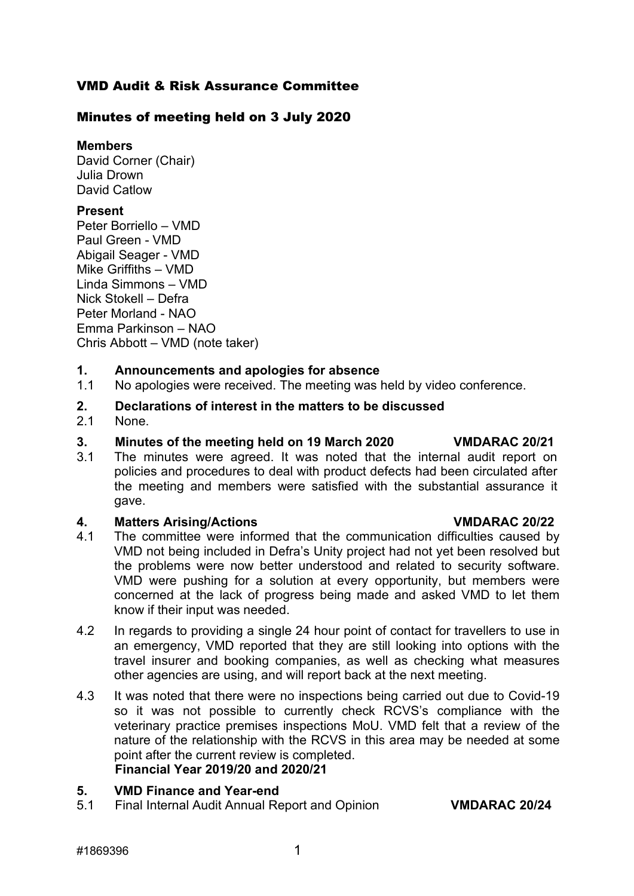### VMD Audit & Risk Assurance Committee

#### Minutes of meeting held on 3 July 2020

#### **Members**

David Corner (Chair) Julia Drown David Catlow

#### **Present**

Peter Borriello – VMD Paul Green - VMD Abigail Seager - VMD Mike Griffiths – VMD Linda Simmons – VMD Nick Stokell – Defra Peter Morland - NAO Emma Parkinson – NAO Chris Abbott – VMD (note taker)

## **1. Announcements and apologies for absence**

- No apologies were received. The meeting was held by video conference.
- **2. Declarations of interest in the matters to be discussed**
- None.

#### **3. Minutes of the meeting held on 19 March 2020 VMDARAC 20/21**

3.1 The minutes were agreed. It was noted that the internal audit report on policies and procedures to deal with product defects had been circulated after the meeting and members were satisfied with the substantial assurance it gave.

#### **4. Matters Arising/Actions VMDARAC 20/22**

- 4.1 The committee were informed that the communication difficulties caused by VMD not being included in Defra's Unity project had not yet been resolved but the problems were now better understood and related to security software. VMD were pushing for a solution at every opportunity, but members were concerned at the lack of progress being made and asked VMD to let them know if their input was needed.
- 4.2 In regards to providing a single 24 hour point of contact for travellers to use in an emergency, VMD reported that they are still looking into options with the travel insurer and booking companies, as well as checking what measures other agencies are using, and will report back at the next meeting.
- 4.3 It was noted that there were no inspections being carried out due to Covid-19 so it was not possible to currently check RCVS's compliance with the veterinary practice premises inspections MoU. VMD felt that a review of the nature of the relationship with the RCVS in this area may be needed at some point after the current review is completed. **Financial Year 2019/20 and 2020/21**

#### **5. VMD Finance and Year-end**

5.1 Final Internal Audit Annual Report and Opinion **VMDARAC 20/24**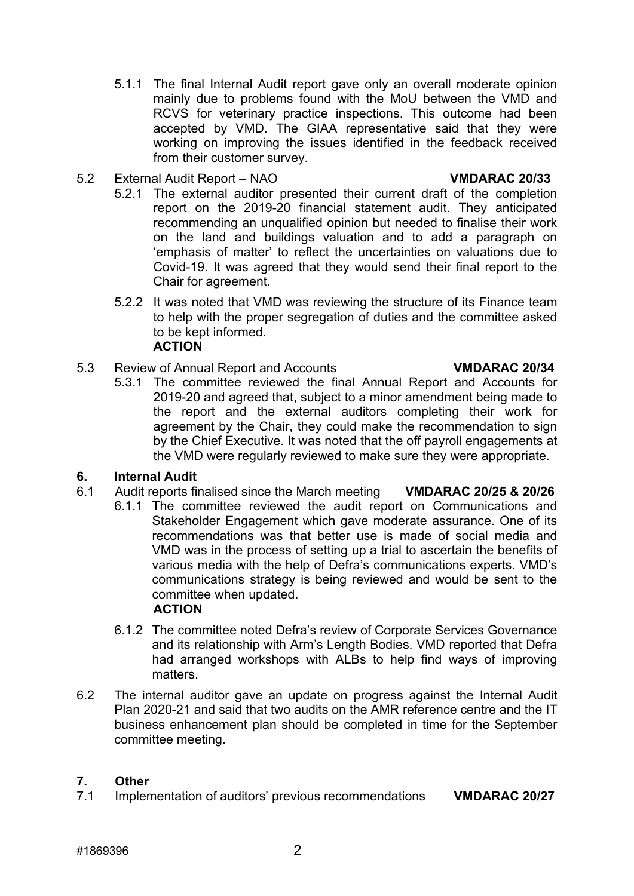- 5.1.1 The final Internal Audit report gave only an overall moderate opinion mainly due to problems found with the MoU between the VMD and RCVS for veterinary practice inspections. This outcome had been accepted by VMD. The GIAA representative said that they were working on improving the issues identified in the feedback received from their customer survey.
- 5.2 External Audit Report NAO **VMDARAC 20/33**

- 5.2.1 The external auditor presented their current draft of the completion report on the 2019-20 financial statement audit. They anticipated recommending an unqualified opinion but needed to finalise their work on the land and buildings valuation and to add a paragraph on 'emphasis of matter' to reflect the uncertainties on valuations due to Covid-19. It was agreed that they would send their final report to the Chair for agreement.
- 5.2.2 It was noted that VMD was reviewing the structure of its Finance team to help with the proper segregation of duties and the committee asked to be kept informed. **ACTION**
- 5.3 Review of Annual Report and Accounts **VMDARAC 20/34**
	- 5.3.1 The committee reviewed the final Annual Report and Accounts for 2019-20 and agreed that, subject to a minor amendment being made to the report and the external auditors completing their work for agreement by the Chair, they could make the recommendation to sign by the Chief Executive. It was noted that the off payroll engagements at the VMD were regularly reviewed to make sure they were appropriate.

#### **6. Internal Audit**

- 6.1 Audit reports finalised since the March meeting **VMDARAC 20/25 & 20/26**
	- 6.1.1 The committee reviewed the audit report on Communications and Stakeholder Engagement which gave moderate assurance. One of its recommendations was that better use is made of social media and VMD was in the process of setting up a trial to ascertain the benefits of various media with the help of Defra's communications experts. VMD's communications strategy is being reviewed and would be sent to the committee when updated.

#### **ACTION**

- 6.1.2 The committee noted Defra's review of Corporate Services Governance and its relationship with Arm's Length Bodies. VMD reported that Defra had arranged workshops with ALBs to help find ways of improving matters.
- 6.2 The internal auditor gave an update on progress against the Internal Audit Plan 2020-21 and said that two audits on the AMR reference centre and the IT business enhancement plan should be completed in time for the September committee meeting.

# **7. Other**

7.1 Implementation of auditors' previous recommendations **VMDARAC 20/27**